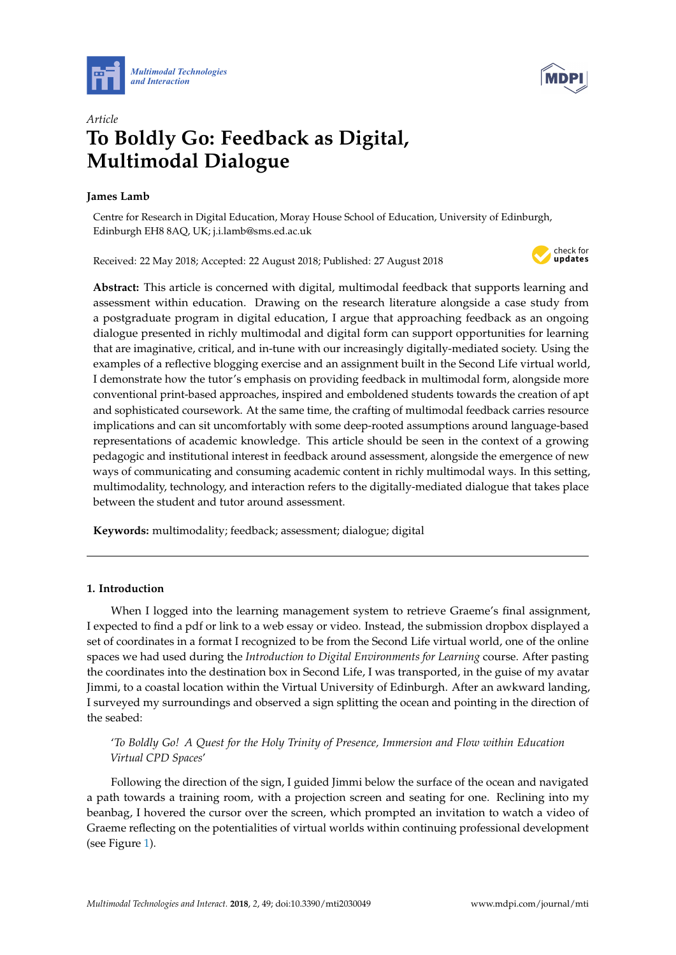



# *Article* **To Boldly Go: Feedback as Digital, Multimodal Dialogue**

### **James Lamb**

Centre for Research in Digital Education, Moray House School of Education, University of Edinburgh, Edinburgh EH8 8AQ, UK; j.i.lamb@sms.ed.ac.uk

Received: 22 May 2018; Accepted: 22 August 2018; Published: 27 August 2018



**Abstract:** This article is concerned with digital, multimodal feedback that supports learning and assessment within education. Drawing on the research literature alongside a case study from a postgraduate program in digital education, I argue that approaching feedback as an ongoing dialogue presented in richly multimodal and digital form can support opportunities for learning that are imaginative, critical, and in-tune with our increasingly digitally-mediated society. Using the examples of a reflective blogging exercise and an assignment built in the Second Life virtual world, I demonstrate how the tutor's emphasis on providing feedback in multimodal form, alongside more conventional print-based approaches, inspired and emboldened students towards the creation of apt and sophisticated coursework. At the same time, the crafting of multimodal feedback carries resource implications and can sit uncomfortably with some deep-rooted assumptions around language-based representations of academic knowledge. This article should be seen in the context of a growing pedagogic and institutional interest in feedback around assessment, alongside the emergence of new ways of communicating and consuming academic content in richly multimodal ways. In this setting, multimodality, technology, and interaction refers to the digitally-mediated dialogue that takes place between the student and tutor around assessment.

**Keywords:** multimodality; feedback; assessment; dialogue; digital

### **1. Introduction**

When I logged into the learning management system to retrieve Graeme's final assignment, I expected to find a pdf or link to a web essay or video. Instead, the submission dropbox displayed a set of coordinates in a format I recognized to be from the Second Life virtual world, one of the online spaces we had used during the *Introduction to Digital Environments for Learning* course. After pasting the coordinates into the destination box in Second Life, I was transported, in the guise of my avatar Jimmi, to a coastal location within the Virtual University of Edinburgh. After an awkward landing, I surveyed my surroundings and observed a sign splitting the ocean and pointing in the direction of the seabed:

## '*To Boldly Go! A Quest for the Holy Trinity of Presence, Immersion and Flow within Education Virtual CPD Spaces*'

Following the direction of the sign, I guided Jimmi below the surface of the ocean and navigated a path towards a training room, with a projection screen and seating for one. Reclining into my beanbag, I hovered the cursor over the screen, which prompted an invitation to watch a video of Graeme reflecting on the potentialities of virtual worlds within continuing professional development (see Figure [1\)](#page-1-0).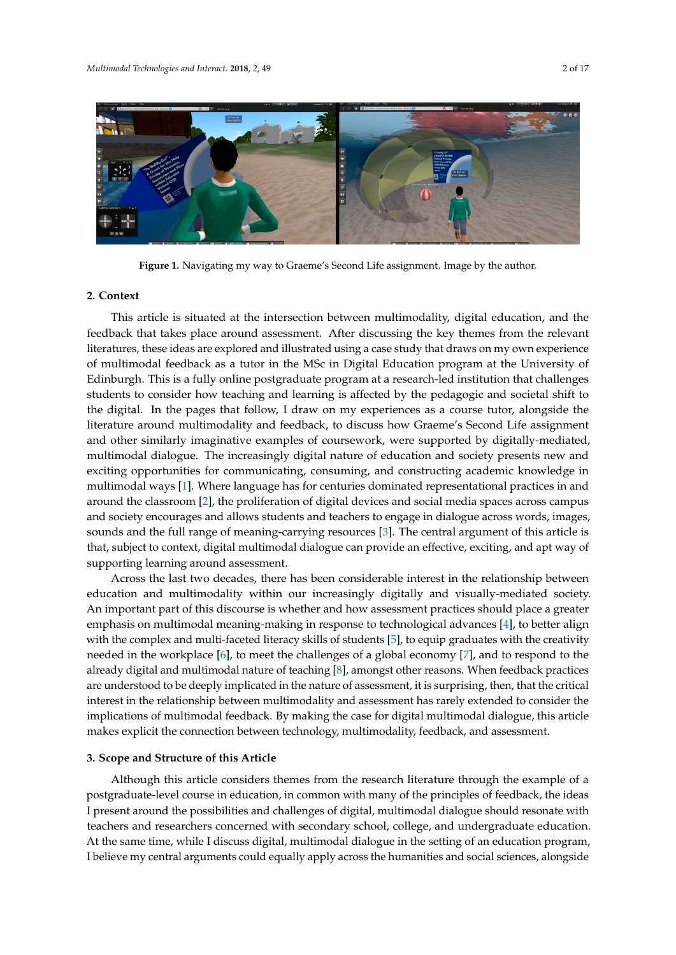<span id="page-1-0"></span>

**Figure 1.** Navigating my way to Graeme's Second Life assignment. Image by the author. **Figure 1.** Navigating my way to Graeme's Second Life assignment. Image by the author.

# **2. Context 2. Context**

This article is situated at the intersection between multimodality, digital education, and the This article is situated at the intersection between multimodality, digital education, and the feedback that takes place around assessment. After discussing the key themes from the relevant feedback that takes place around assessment. After discussing the key themes from the relevant literatures, these ideas are explored and illustrated using a case study that draws on my own experience literatures, these ideas are explored and illustrated using a case study that draws on my own experience of multimodal feedback as a tutor in the MSc in Digital Education program at the University of of multimodal feedback as a tutor in the MSc in Digital Education program at the University of Edinburgh. This is a fully online postgraduate program at a research-led institution that challenges Edinburgh. This is a fully online postgraduate program at a research-led institution that challenges Edino dign. This is a rany orange posignature program at a research feature in the chanceles students to consider how teaching and learning is affected by the pedagogic and societal shift to the digital. In the pages that follow, I draw on my experiences as a course tutor, alongside the digital. Interature around multimodality and feedback, to discuss how Graeme's Second Life assignment and  $\frac{1}{2}$ and other similarly imaginative examples of coursework, were supported by digitally-mediated, multimodal dialogue. The increasingly digital nature of education and society presents new and  $\frac{1}{2}$ exciting opportunities for communicating, consuming, and constructing academic knowledge in exering opportunities for communicating, consuming, and consulteing dealerme moviedge in multimodal ways [\[1\]](#page-14-0). Where language has for centuries dominated representational practices in and around the classroom [\[2\]](#page-14-1), there anguage has for centances achieved representational practices in and around the classroom [2], the proliferation of digital devices and social media spaces across campus and society encourages and allows students and teachers to engage in dialogue across words, images, the full range of meaning-carrying resources [\[3\]](#page-14-2). The central argument of this article is sounds and the full range of meaning-carrying resources [3]. The central argument of this article is bounds and the ran range of meaning earlying resources [5]. The central argument of this article is<br>that, subject to context, digital multimodal dialogue can provide an effective, exciting, and apt way of learning around assessment. supporting learning around assessment.

Across the last two decades, there has been considerable interest in the relationship between Across the last two decades, there has been considerable interest in the relationship between education and multimodality within our increasingly digitally and visually-mediated society. An education and multimodality within our increasingly digitally and visually-mediated society. included the material part of the third part of the state and how assessment produced society. An important part of this discourse is whether and how assessment practices should place a greater align but the thing place and how assessment practices should place a greater with the complex and multi-faceted literacy skills of students [5], to equip graduates with the creativity with the complex and multi-faceted literacy skills of students [\[5\]](#page-14-4), to equip graduates with the creativity needed in the workplace [6], to meet the challenges of a global economy [7], and to respond to the needed in the workplace [\[6\]](#page-14-5), to meet the challenges of a global economy [\[7\]](#page-14-6), and to respond to the all alternative polynomial and multiplot of the teaching contains  $\mathbb{R}^n$ , when for the reasons of the set of the set of the set of the set of the set of the set of the set of the set of the set of the set of the set of already digital and multimodal nature of teaching  $[8]$ , amongst other reasons. When feedback practices are understood to be deeply implicated in the nature of assessment, it is surprising, then, that the critical the nature of assessment, it is surprising, then, that the critical interest in the relationship between multimodality and assessment has rarely extended to consider the relationship between multimodality and assessment has rarely extended to consider the implications of multimodal feedback. By making the case for digital multimodal dialogue, this article emphasis on multimodal meaning-making in response to technological advances [\[4\]](#page-14-3), to better align makes explicit the connection between technology, multimodality, feedback, and assessment.

# **3. Scope and Structure of this Article 3. Scope and Structure of this Article**

Although this article considers themes from the research literature through the example of a postgraduate-level course in education, in common with many of the principles of feedback, the ideas postgraduate-level course in education, in common with many of the principles of feedback, the ideas I present around the possibilities and challenges of digital, multimodal dialogue should resonate with I present around the possibilities and challenges of digital, multimodal dialogue should resonate with teachers and researchers concerned with secondary school, college, and undergraduate education. At the same time, while I discuss digital, multimodal dialogue in the setting of an education program, believe my central arguments could equally apply across the humanities and social sciences, alongside I believe my central arguments could equally apply across the humanities and social sciences, alongside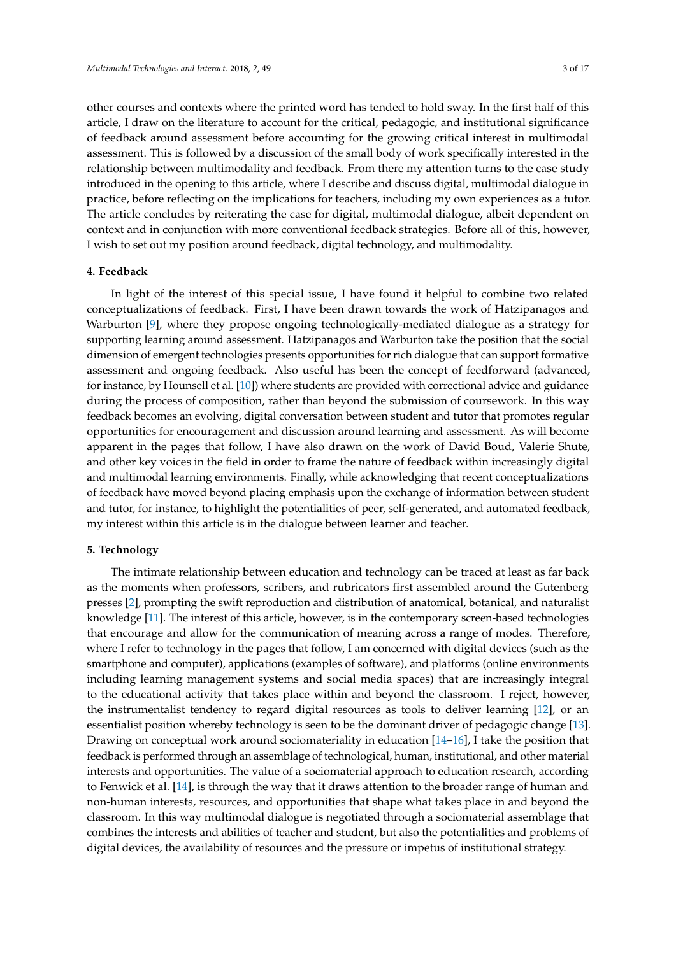other courses and contexts where the printed word has tended to hold sway. In the first half of this article, I draw on the literature to account for the critical, pedagogic, and institutional significance of feedback around assessment before accounting for the growing critical interest in multimodal assessment. This is followed by a discussion of the small body of work specifically interested in the relationship between multimodality and feedback. From there my attention turns to the case study introduced in the opening to this article, where I describe and discuss digital, multimodal dialogue in practice, before reflecting on the implications for teachers, including my own experiences as a tutor. The article concludes by reiterating the case for digital, multimodal dialogue, albeit dependent on context and in conjunction with more conventional feedback strategies. Before all of this, however, I wish to set out my position around feedback, digital technology, and multimodality.

#### **4. Feedback**

In light of the interest of this special issue, I have found it helpful to combine two related conceptualizations of feedback. First, I have been drawn towards the work of Hatzipanagos and Warburton [\[9\]](#page-14-8), where they propose ongoing technologically-mediated dialogue as a strategy for supporting learning around assessment. Hatzipanagos and Warburton take the position that the social dimension of emergent technologies presents opportunities for rich dialogue that can support formative assessment and ongoing feedback. Also useful has been the concept of feedforward (advanced, for instance, by Hounsell et al. [\[10\]](#page-14-9)) where students are provided with correctional advice and guidance during the process of composition, rather than beyond the submission of coursework. In this way feedback becomes an evolving, digital conversation between student and tutor that promotes regular opportunities for encouragement and discussion around learning and assessment. As will become apparent in the pages that follow, I have also drawn on the work of David Boud, Valerie Shute, and other key voices in the field in order to frame the nature of feedback within increasingly digital and multimodal learning environments. Finally, while acknowledging that recent conceptualizations of feedback have moved beyond placing emphasis upon the exchange of information between student and tutor, for instance, to highlight the potentialities of peer, self-generated, and automated feedback, my interest within this article is in the dialogue between learner and teacher.

#### **5. Technology**

The intimate relationship between education and technology can be traced at least as far back as the moments when professors, scribers, and rubricators first assembled around the Gutenberg presses [\[2\]](#page-14-1), prompting the swift reproduction and distribution of anatomical, botanical, and naturalist knowledge [\[11\]](#page-14-10). The interest of this article, however, is in the contemporary screen-based technologies that encourage and allow for the communication of meaning across a range of modes. Therefore, where I refer to technology in the pages that follow, I am concerned with digital devices (such as the smartphone and computer), applications (examples of software), and platforms (online environments including learning management systems and social media spaces) that are increasingly integral to the educational activity that takes place within and beyond the classroom. I reject, however, the instrumentalist tendency to regard digital resources as tools to deliver learning [\[12\]](#page-15-0), or an essentialist position whereby technology is seen to be the dominant driver of pedagogic change [\[13\]](#page-15-1). Drawing on conceptual work around sociomateriality in education [\[14–](#page-15-2)[16\]](#page-15-3), I take the position that feedback is performed through an assemblage of technological, human, institutional, and other material interests and opportunities. The value of a sociomaterial approach to education research, according to Fenwick et al. [\[14\]](#page-15-2), is through the way that it draws attention to the broader range of human and non-human interests, resources, and opportunities that shape what takes place in and beyond the classroom. In this way multimodal dialogue is negotiated through a sociomaterial assemblage that combines the interests and abilities of teacher and student, but also the potentialities and problems of digital devices, the availability of resources and the pressure or impetus of institutional strategy.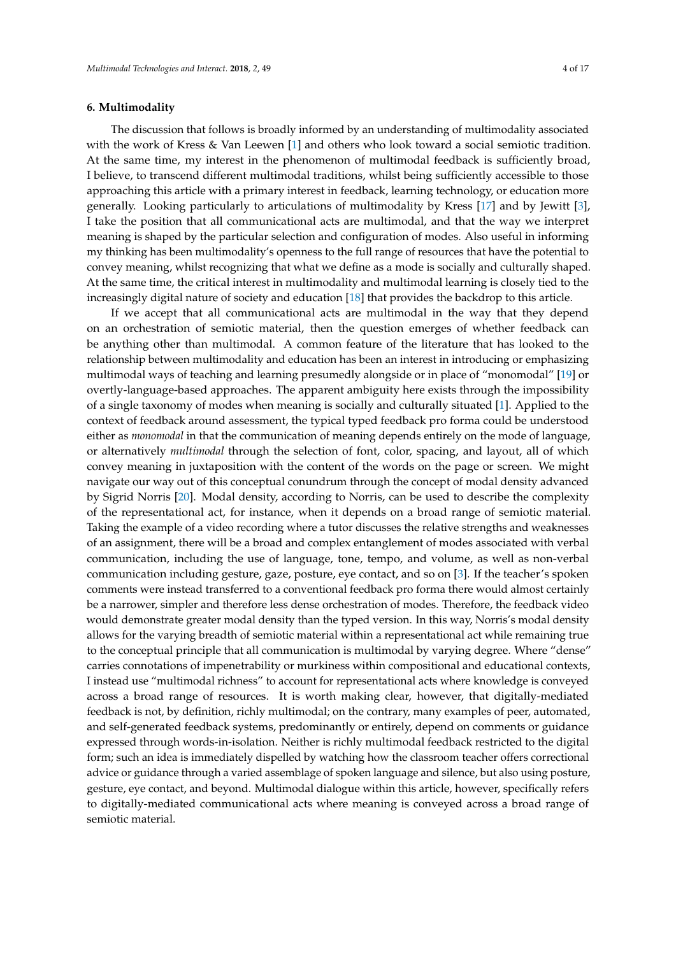#### **6. Multimodality**

The discussion that follows is broadly informed by an understanding of multimodality associated with the work of Kress & Van Leewen [\[1\]](#page-14-0) and others who look toward a social semiotic tradition. At the same time, my interest in the phenomenon of multimodal feedback is sufficiently broad, I believe, to transcend different multimodal traditions, whilst being sufficiently accessible to those approaching this article with a primary interest in feedback, learning technology, or education more generally. Looking particularly to articulations of multimodality by Kress [\[17\]](#page-15-4) and by Jewitt [\[3\]](#page-14-2), I take the position that all communicational acts are multimodal, and that the way we interpret meaning is shaped by the particular selection and configuration of modes. Also useful in informing my thinking has been multimodality's openness to the full range of resources that have the potential to convey meaning, whilst recognizing that what we define as a mode is socially and culturally shaped. At the same time, the critical interest in multimodality and multimodal learning is closely tied to the increasingly digital nature of society and education [\[18\]](#page-15-5) that provides the backdrop to this article.

If we accept that all communicational acts are multimodal in the way that they depend on an orchestration of semiotic material, then the question emerges of whether feedback can be anything other than multimodal. A common feature of the literature that has looked to the relationship between multimodality and education has been an interest in introducing or emphasizing multimodal ways of teaching and learning presumedly alongside or in place of "monomodal" [\[19\]](#page-15-6) or overtly-language-based approaches. The apparent ambiguity here exists through the impossibility of a single taxonomy of modes when meaning is socially and culturally situated [\[1\]](#page-14-0). Applied to the context of feedback around assessment, the typical typed feedback pro forma could be understood either as *monomodal* in that the communication of meaning depends entirely on the mode of language, or alternatively *multimodal* through the selection of font, color, spacing, and layout, all of which convey meaning in juxtaposition with the content of the words on the page or screen. We might navigate our way out of this conceptual conundrum through the concept of modal density advanced by Sigrid Norris [\[20\]](#page-15-7). Modal density, according to Norris, can be used to describe the complexity of the representational act, for instance, when it depends on a broad range of semiotic material. Taking the example of a video recording where a tutor discusses the relative strengths and weaknesses of an assignment, there will be a broad and complex entanglement of modes associated with verbal communication, including the use of language, tone, tempo, and volume, as well as non-verbal communication including gesture, gaze, posture, eye contact, and so on [\[3\]](#page-14-2). If the teacher's spoken comments were instead transferred to a conventional feedback pro forma there would almost certainly be a narrower, simpler and therefore less dense orchestration of modes. Therefore, the feedback video would demonstrate greater modal density than the typed version. In this way, Norris's modal density allows for the varying breadth of semiotic material within a representational act while remaining true to the conceptual principle that all communication is multimodal by varying degree. Where "dense" carries connotations of impenetrability or murkiness within compositional and educational contexts, I instead use "multimodal richness" to account for representational acts where knowledge is conveyed across a broad range of resources. It is worth making clear, however, that digitally-mediated feedback is not, by definition, richly multimodal; on the contrary, many examples of peer, automated, and self-generated feedback systems, predominantly or entirely, depend on comments or guidance expressed through words-in-isolation. Neither is richly multimodal feedback restricted to the digital form; such an idea is immediately dispelled by watching how the classroom teacher offers correctional advice or guidance through a varied assemblage of spoken language and silence, but also using posture, gesture, eye contact, and beyond. Multimodal dialogue within this article, however, specifically refers to digitally-mediated communicational acts where meaning is conveyed across a broad range of semiotic material.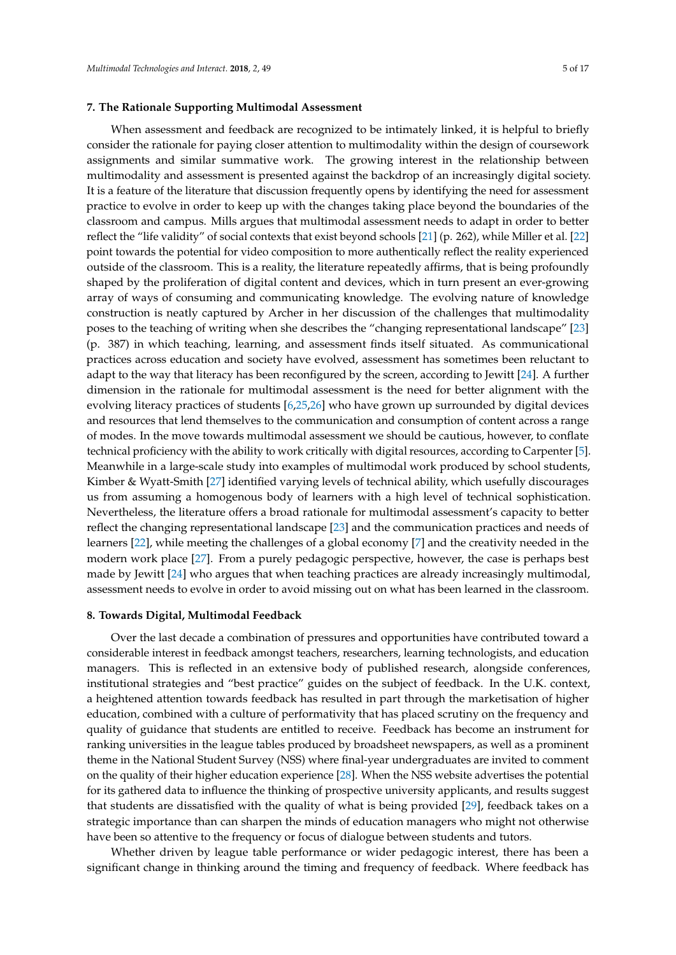#### **7. The Rationale Supporting Multimodal Assessment**

When assessment and feedback are recognized to be intimately linked, it is helpful to briefly consider the rationale for paying closer attention to multimodality within the design of coursework assignments and similar summative work. The growing interest in the relationship between multimodality and assessment is presented against the backdrop of an increasingly digital society. It is a feature of the literature that discussion frequently opens by identifying the need for assessment practice to evolve in order to keep up with the changes taking place beyond the boundaries of the classroom and campus. Mills argues that multimodal assessment needs to adapt in order to better reflect the "life validity" of social contexts that exist beyond schools [\[21\]](#page-15-8) (p. 262), while Miller et al. [\[22\]](#page-15-9) point towards the potential for video composition to more authentically reflect the reality experienced outside of the classroom. This is a reality, the literature repeatedly affirms, that is being profoundly shaped by the proliferation of digital content and devices, which in turn present an ever-growing array of ways of consuming and communicating knowledge. The evolving nature of knowledge construction is neatly captured by Archer in her discussion of the challenges that multimodality poses to the teaching of writing when she describes the "changing representational landscape" [\[23\]](#page-15-10) (p. 387) in which teaching, learning, and assessment finds itself situated. As communicational practices across education and society have evolved, assessment has sometimes been reluctant to adapt to the way that literacy has been reconfigured by the screen, according to Jewitt [\[24\]](#page-15-11). A further dimension in the rationale for multimodal assessment is the need for better alignment with the evolving literacy practices of students [\[6](#page-14-5)[,25](#page-15-12)[,26\]](#page-15-13) who have grown up surrounded by digital devices and resources that lend themselves to the communication and consumption of content across a range of modes. In the move towards multimodal assessment we should be cautious, however, to conflate technical proficiency with the ability to work critically with digital resources, according to Carpenter [\[5\]](#page-14-4). Meanwhile in a large-scale study into examples of multimodal work produced by school students, Kimber & Wyatt-Smith [\[27\]](#page-15-14) identified varying levels of technical ability, which usefully discourages us from assuming a homogenous body of learners with a high level of technical sophistication. Nevertheless, the literature offers a broad rationale for multimodal assessment's capacity to better reflect the changing representational landscape [\[23\]](#page-15-10) and the communication practices and needs of learners [\[22\]](#page-15-9), while meeting the challenges of a global economy [\[7\]](#page-14-6) and the creativity needed in the modern work place [\[27\]](#page-15-14). From a purely pedagogic perspective, however, the case is perhaps best made by Jewitt [\[24\]](#page-15-11) who argues that when teaching practices are already increasingly multimodal, assessment needs to evolve in order to avoid missing out on what has been learned in the classroom.

#### **8. Towards Digital, Multimodal Feedback**

Over the last decade a combination of pressures and opportunities have contributed toward a considerable interest in feedback amongst teachers, researchers, learning technologists, and education managers. This is reflected in an extensive body of published research, alongside conferences, institutional strategies and "best practice" guides on the subject of feedback. In the U.K. context, a heightened attention towards feedback has resulted in part through the marketisation of higher education, combined with a culture of performativity that has placed scrutiny on the frequency and quality of guidance that students are entitled to receive. Feedback has become an instrument for ranking universities in the league tables produced by broadsheet newspapers, as well as a prominent theme in the National Student Survey (NSS) where final-year undergraduates are invited to comment on the quality of their higher education experience [\[28\]](#page-15-15). When the NSS website advertises the potential for its gathered data to influence the thinking of prospective university applicants, and results suggest that students are dissatisfied with the quality of what is being provided [\[29\]](#page-15-16), feedback takes on a strategic importance than can sharpen the minds of education managers who might not otherwise have been so attentive to the frequency or focus of dialogue between students and tutors.

Whether driven by league table performance or wider pedagogic interest, there has been a significant change in thinking around the timing and frequency of feedback. Where feedback has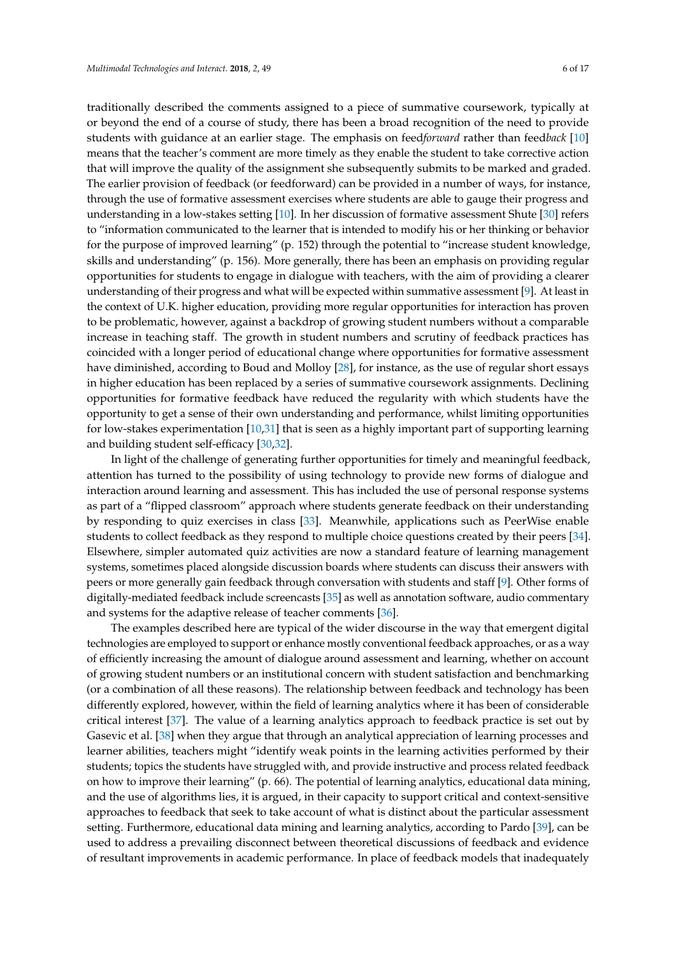traditionally described the comments assigned to a piece of summative coursework, typically at or beyond the end of a course of study, there has been a broad recognition of the need to provide students with guidance at an earlier stage. The emphasis on feed*forward* rather than feed*back* [\[10\]](#page-14-9) means that the teacher's comment are more timely as they enable the student to take corrective action that will improve the quality of the assignment she subsequently submits to be marked and graded. The earlier provision of feedback (or feedforward) can be provided in a number of ways, for instance, through the use of formative assessment exercises where students are able to gauge their progress and understanding in a low-stakes setting [\[10\]](#page-14-9). In her discussion of formative assessment Shute [\[30\]](#page-15-17) refers to "information communicated to the learner that is intended to modify his or her thinking or behavior for the purpose of improved learning" (p. 152) through the potential to "increase student knowledge, skills and understanding" (p. 156). More generally, there has been an emphasis on providing regular opportunities for students to engage in dialogue with teachers, with the aim of providing a clearer understanding of their progress and what will be expected within summative assessment [\[9\]](#page-14-8). At least in the context of U.K. higher education, providing more regular opportunities for interaction has proven to be problematic, however, against a backdrop of growing student numbers without a comparable increase in teaching staff. The growth in student numbers and scrutiny of feedback practices has coincided with a longer period of educational change where opportunities for formative assessment have diminished, according to Boud and Molloy [\[28\]](#page-15-15), for instance, as the use of regular short essays in higher education has been replaced by a series of summative coursework assignments. Declining opportunities for formative feedback have reduced the regularity with which students have the opportunity to get a sense of their own understanding and performance, whilst limiting opportunities for low-stakes experimentation [\[10](#page-14-9)[,31\]](#page-15-18) that is seen as a highly important part of supporting learning and building student self-efficacy [\[30](#page-15-17)[,32\]](#page-15-19).

In light of the challenge of generating further opportunities for timely and meaningful feedback, attention has turned to the possibility of using technology to provide new forms of dialogue and interaction around learning and assessment. This has included the use of personal response systems as part of a "flipped classroom" approach where students generate feedback on their understanding by responding to quiz exercises in class [\[33\]](#page-15-20). Meanwhile, applications such as PeerWise enable students to collect feedback as they respond to multiple choice questions created by their peers [\[34\]](#page-15-21). Elsewhere, simpler automated quiz activities are now a standard feature of learning management systems, sometimes placed alongside discussion boards where students can discuss their answers with peers or more generally gain feedback through conversation with students and staff [\[9\]](#page-14-8). Other forms of digitally-mediated feedback include screencasts [\[35\]](#page-15-22) as well as annotation software, audio commentary and systems for the adaptive release of teacher comments [\[36\]](#page-15-23).

The examples described here are typical of the wider discourse in the way that emergent digital technologies are employed to support or enhance mostly conventional feedback approaches, or as a way of efficiently increasing the amount of dialogue around assessment and learning, whether on account of growing student numbers or an institutional concern with student satisfaction and benchmarking (or a combination of all these reasons). The relationship between feedback and technology has been differently explored, however, within the field of learning analytics where it has been of considerable critical interest [\[37\]](#page-15-24). The value of a learning analytics approach to feedback practice is set out by Gasevic et al. [\[38\]](#page-15-25) when they argue that through an analytical appreciation of learning processes and learner abilities, teachers might "identify weak points in the learning activities performed by their students; topics the students have struggled with, and provide instructive and process related feedback on how to improve their learning" (p. 66). The potential of learning analytics, educational data mining, and the use of algorithms lies, it is argued, in their capacity to support critical and context-sensitive approaches to feedback that seek to take account of what is distinct about the particular assessment setting. Furthermore, educational data mining and learning analytics, according to Pardo [\[39\]](#page-16-0), can be used to address a prevailing disconnect between theoretical discussions of feedback and evidence of resultant improvements in academic performance. In place of feedback models that inadequately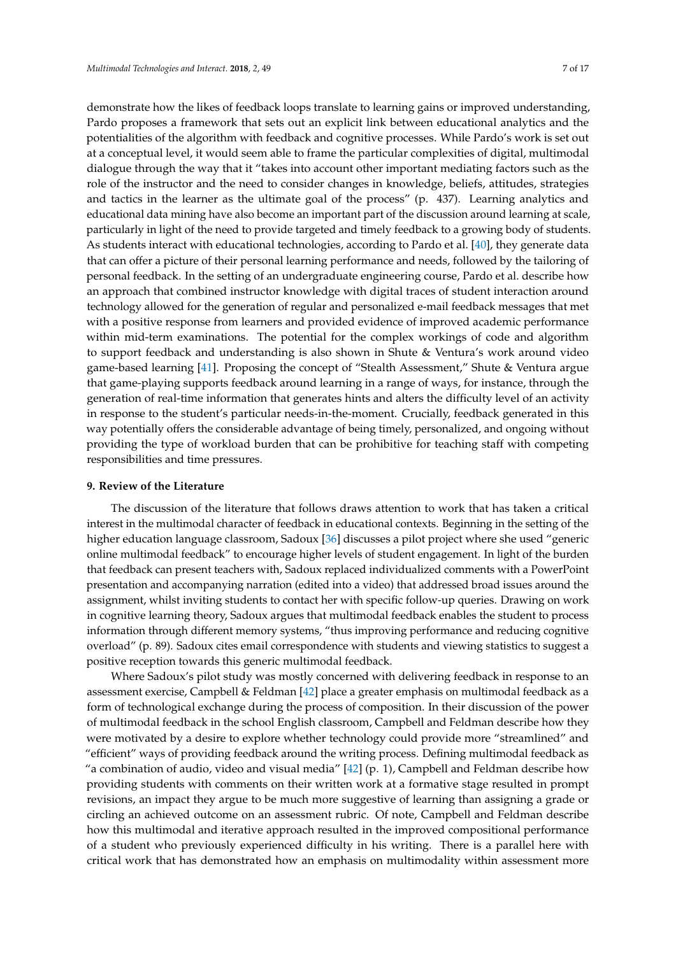demonstrate how the likes of feedback loops translate to learning gains or improved understanding, Pardo proposes a framework that sets out an explicit link between educational analytics and the potentialities of the algorithm with feedback and cognitive processes. While Pardo's work is set out at a conceptual level, it would seem able to frame the particular complexities of digital, multimodal dialogue through the way that it "takes into account other important mediating factors such as the role of the instructor and the need to consider changes in knowledge, beliefs, attitudes, strategies and tactics in the learner as the ultimate goal of the process" (p. 437). Learning analytics and educational data mining have also become an important part of the discussion around learning at scale, particularly in light of the need to provide targeted and timely feedback to a growing body of students. As students interact with educational technologies, according to Pardo et al. [\[40\]](#page-16-1), they generate data that can offer a picture of their personal learning performance and needs, followed by the tailoring of personal feedback. In the setting of an undergraduate engineering course, Pardo et al. describe how an approach that combined instructor knowledge with digital traces of student interaction around technology allowed for the generation of regular and personalized e-mail feedback messages that met with a positive response from learners and provided evidence of improved academic performance within mid-term examinations. The potential for the complex workings of code and algorithm to support feedback and understanding is also shown in Shute & Ventura's work around video game-based learning [\[41\]](#page-16-2). Proposing the concept of "Stealth Assessment," Shute & Ventura argue that game-playing supports feedback around learning in a range of ways, for instance, through the generation of real-time information that generates hints and alters the difficulty level of an activity in response to the student's particular needs-in-the-moment. Crucially, feedback generated in this way potentially offers the considerable advantage of being timely, personalized, and ongoing without providing the type of workload burden that can be prohibitive for teaching staff with competing responsibilities and time pressures.

#### **9. Review of the Literature**

The discussion of the literature that follows draws attention to work that has taken a critical interest in the multimodal character of feedback in educational contexts. Beginning in the setting of the higher education language classroom, Sadoux [\[36\]](#page-15-23) discusses a pilot project where she used "generic online multimodal feedback" to encourage higher levels of student engagement. In light of the burden that feedback can present teachers with, Sadoux replaced individualized comments with a PowerPoint presentation and accompanying narration (edited into a video) that addressed broad issues around the assignment, whilst inviting students to contact her with specific follow-up queries. Drawing on work in cognitive learning theory, Sadoux argues that multimodal feedback enables the student to process information through different memory systems, "thus improving performance and reducing cognitive overload" (p. 89). Sadoux cites email correspondence with students and viewing statistics to suggest a positive reception towards this generic multimodal feedback.

Where Sadoux's pilot study was mostly concerned with delivering feedback in response to an assessment exercise, Campbell & Feldman [\[42\]](#page-16-3) place a greater emphasis on multimodal feedback as a form of technological exchange during the process of composition. In their discussion of the power of multimodal feedback in the school English classroom, Campbell and Feldman describe how they were motivated by a desire to explore whether technology could provide more "streamlined" and "efficient" ways of providing feedback around the writing process. Defining multimodal feedback as "a combination of audio, video and visual media"  $[42]$  (p. 1), Campbell and Feldman describe how providing students with comments on their written work at a formative stage resulted in prompt revisions, an impact they argue to be much more suggestive of learning than assigning a grade or circling an achieved outcome on an assessment rubric. Of note, Campbell and Feldman describe how this multimodal and iterative approach resulted in the improved compositional performance of a student who previously experienced difficulty in his writing. There is a parallel here with critical work that has demonstrated how an emphasis on multimodality within assessment more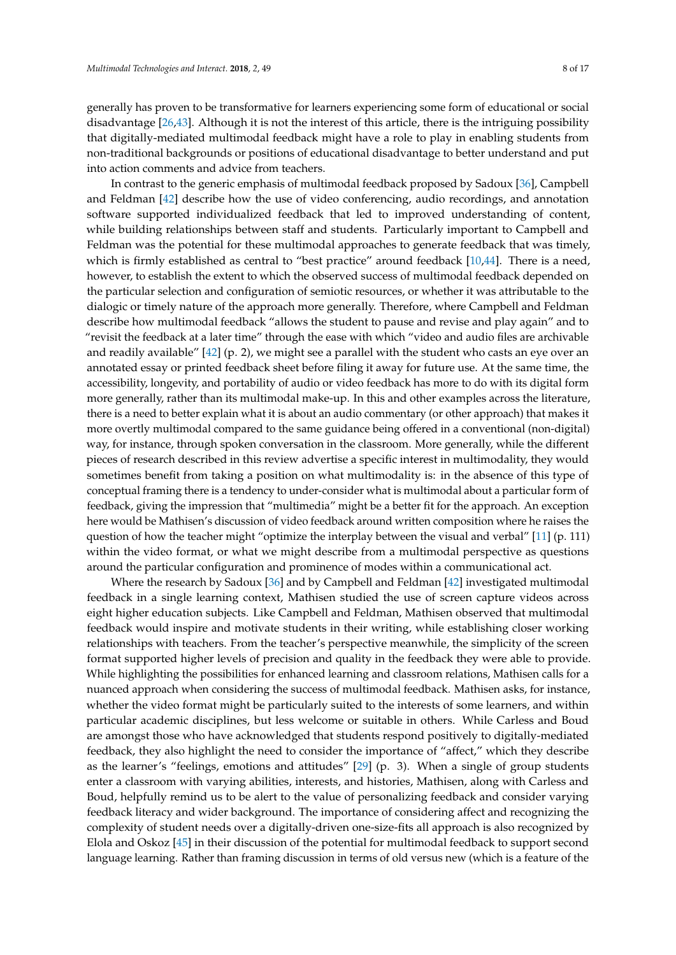generally has proven to be transformative for learners experiencing some form of educational or social disadvantage [\[26](#page-15-13)[,43\]](#page-16-4). Although it is not the interest of this article, there is the intriguing possibility that digitally-mediated multimodal feedback might have a role to play in enabling students from non-traditional backgrounds or positions of educational disadvantage to better understand and put into action comments and advice from teachers.

In contrast to the generic emphasis of multimodal feedback proposed by Sadoux [\[36\]](#page-15-23), Campbell and Feldman [\[42\]](#page-16-3) describe how the use of video conferencing, audio recordings, and annotation software supported individualized feedback that led to improved understanding of content, while building relationships between staff and students. Particularly important to Campbell and Feldman was the potential for these multimodal approaches to generate feedback that was timely, which is firmly established as central to "best practice" around feedback [\[10](#page-14-9)[,44\]](#page-16-5). There is a need, however, to establish the extent to which the observed success of multimodal feedback depended on the particular selection and configuration of semiotic resources, or whether it was attributable to the dialogic or timely nature of the approach more generally. Therefore, where Campbell and Feldman describe how multimodal feedback "allows the student to pause and revise and play again" and to "revisit the feedback at a later time" through the ease with which "video and audio files are archivable and readily available" [\[42\]](#page-16-3) (p. 2), we might see a parallel with the student who casts an eye over an annotated essay or printed feedback sheet before filing it away for future use. At the same time, the accessibility, longevity, and portability of audio or video feedback has more to do with its digital form more generally, rather than its multimodal make-up. In this and other examples across the literature, there is a need to better explain what it is about an audio commentary (or other approach) that makes it more overtly multimodal compared to the same guidance being offered in a conventional (non-digital) way, for instance, through spoken conversation in the classroom. More generally, while the different pieces of research described in this review advertise a specific interest in multimodality, they would sometimes benefit from taking a position on what multimodality is: in the absence of this type of conceptual framing there is a tendency to under-consider what is multimodal about a particular form of feedback, giving the impression that "multimedia" might be a better fit for the approach. An exception here would be Mathisen's discussion of video feedback around written composition where he raises the question of how the teacher might "optimize the interplay between the visual and verbal" [\[11\]](#page-14-10) (p. 111) within the video format, or what we might describe from a multimodal perspective as questions around the particular configuration and prominence of modes within a communicational act.

Where the research by Sadoux [\[36\]](#page-15-23) and by Campbell and Feldman [\[42\]](#page-16-3) investigated multimodal feedback in a single learning context, Mathisen studied the use of screen capture videos across eight higher education subjects. Like Campbell and Feldman, Mathisen observed that multimodal feedback would inspire and motivate students in their writing, while establishing closer working relationships with teachers. From the teacher's perspective meanwhile, the simplicity of the screen format supported higher levels of precision and quality in the feedback they were able to provide. While highlighting the possibilities for enhanced learning and classroom relations, Mathisen calls for a nuanced approach when considering the success of multimodal feedback. Mathisen asks, for instance, whether the video format might be particularly suited to the interests of some learners, and within particular academic disciplines, but less welcome or suitable in others. While Carless and Boud are amongst those who have acknowledged that students respond positively to digitally-mediated feedback, they also highlight the need to consider the importance of "affect," which they describe as the learner's "feelings, emotions and attitudes" [\[29\]](#page-15-16) (p. 3). When a single of group students enter a classroom with varying abilities, interests, and histories, Mathisen, along with Carless and Boud, helpfully remind us to be alert to the value of personalizing feedback and consider varying feedback literacy and wider background. The importance of considering affect and recognizing the complexity of student needs over a digitally-driven one-size-fits all approach is also recognized by Elola and Oskoz [\[45\]](#page-16-6) in their discussion of the potential for multimodal feedback to support second language learning. Rather than framing discussion in terms of old versus new (which is a feature of the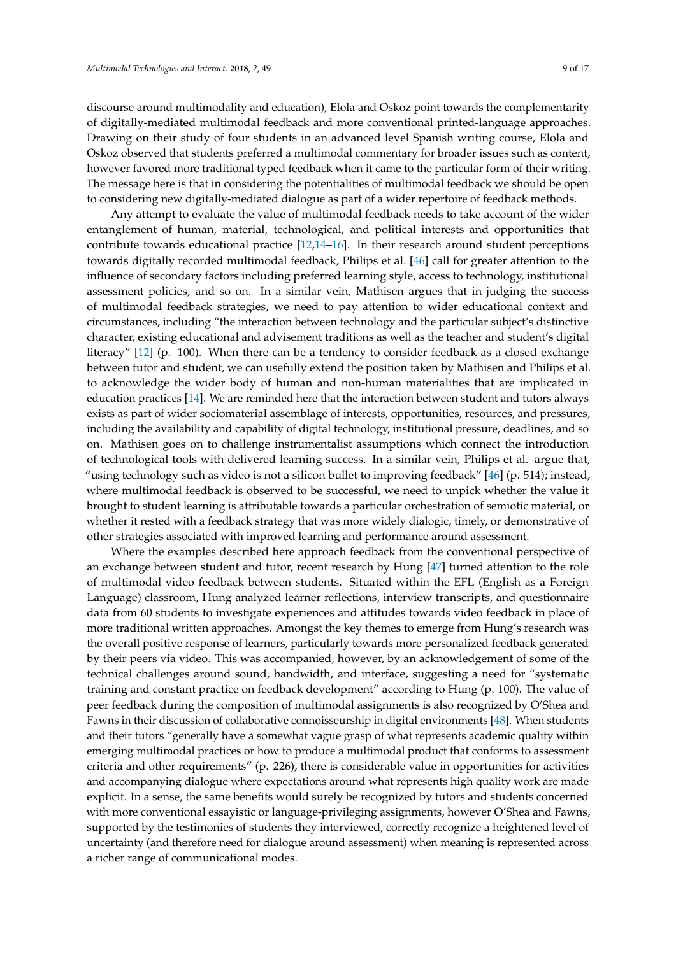discourse around multimodality and education), Elola and Oskoz point towards the complementarity of digitally-mediated multimodal feedback and more conventional printed-language approaches. Drawing on their study of four students in an advanced level Spanish writing course, Elola and Oskoz observed that students preferred a multimodal commentary for broader issues such as content, however favored more traditional typed feedback when it came to the particular form of their writing. The message here is that in considering the potentialities of multimodal feedback we should be open to considering new digitally-mediated dialogue as part of a wider repertoire of feedback methods.

Any attempt to evaluate the value of multimodal feedback needs to take account of the wider entanglement of human, material, technological, and political interests and opportunities that contribute towards educational practice [\[12](#page-15-0)[,14](#page-15-2)[–16\]](#page-15-3). In their research around student perceptions towards digitally recorded multimodal feedback, Philips et al. [\[46\]](#page-16-7) call for greater attention to the influence of secondary factors including preferred learning style, access to technology, institutional assessment policies, and so on. In a similar vein, Mathisen argues that in judging the success of multimodal feedback strategies, we need to pay attention to wider educational context and circumstances, including "the interaction between technology and the particular subject's distinctive character, existing educational and advisement traditions as well as the teacher and student's digital literacy" [\[12\]](#page-15-0) (p. 100). When there can be a tendency to consider feedback as a closed exchange between tutor and student, we can usefully extend the position taken by Mathisen and Philips et al. to acknowledge the wider body of human and non-human materialities that are implicated in education practices [\[14\]](#page-15-2). We are reminded here that the interaction between student and tutors always exists as part of wider sociomaterial assemblage of interests, opportunities, resources, and pressures, including the availability and capability of digital technology, institutional pressure, deadlines, and so on. Mathisen goes on to challenge instrumentalist assumptions which connect the introduction of technological tools with delivered learning success. In a similar vein, Philips et al. argue that, "using technology such as video is not a silicon bullet to improving feedback" [\[46\]](#page-16-7) (p. 514); instead, where multimodal feedback is observed to be successful, we need to unpick whether the value it brought to student learning is attributable towards a particular orchestration of semiotic material, or whether it rested with a feedback strategy that was more widely dialogic, timely, or demonstrative of other strategies associated with improved learning and performance around assessment.

Where the examples described here approach feedback from the conventional perspective of an exchange between student and tutor, recent research by Hung [\[47\]](#page-16-8) turned attention to the role of multimodal video feedback between students. Situated within the EFL (English as a Foreign Language) classroom, Hung analyzed learner reflections, interview transcripts, and questionnaire data from 60 students to investigate experiences and attitudes towards video feedback in place of more traditional written approaches. Amongst the key themes to emerge from Hung's research was the overall positive response of learners, particularly towards more personalized feedback generated by their peers via video. This was accompanied, however, by an acknowledgement of some of the technical challenges around sound, bandwidth, and interface, suggesting a need for "systematic training and constant practice on feedback development" according to Hung (p. 100). The value of peer feedback during the composition of multimodal assignments is also recognized by O'Shea and Fawns in their discussion of collaborative connoisseurship in digital environments [\[48\]](#page-16-9). When students and their tutors "generally have a somewhat vague grasp of what represents academic quality within emerging multimodal practices or how to produce a multimodal product that conforms to assessment criteria and other requirements" (p. 226), there is considerable value in opportunities for activities and accompanying dialogue where expectations around what represents high quality work are made explicit. In a sense, the same benefits would surely be recognized by tutors and students concerned with more conventional essayistic or language-privileging assignments, however O'Shea and Fawns, supported by the testimonies of students they interviewed, correctly recognize a heightened level of uncertainty (and therefore need for dialogue around assessment) when meaning is represented across a richer range of communicational modes.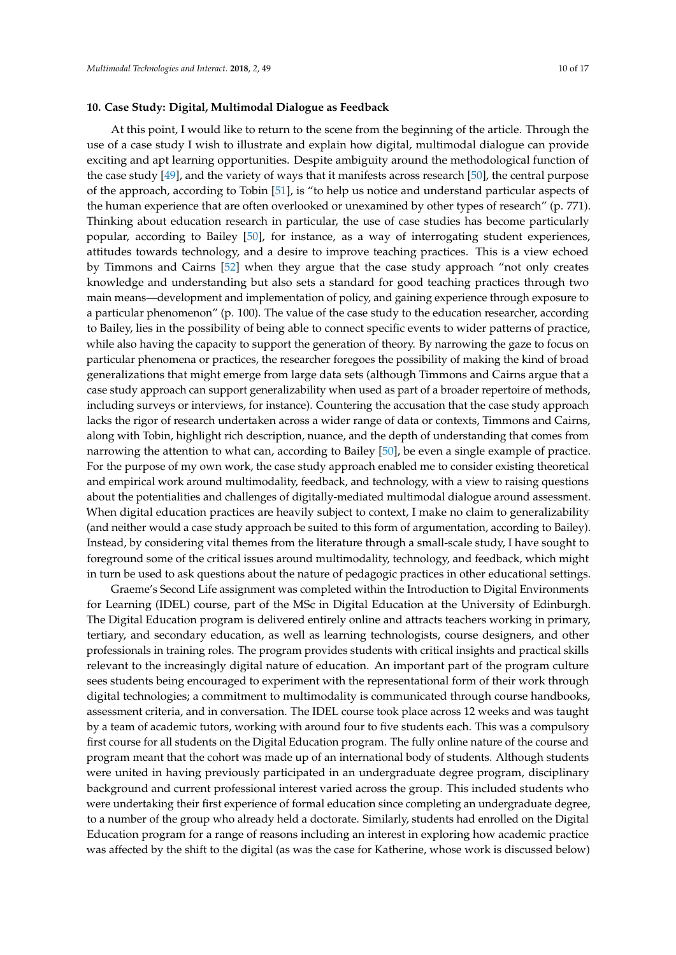#### **10. Case Study: Digital, Multimodal Dialogue as Feedback**

At this point, I would like to return to the scene from the beginning of the article. Through the use of a case study I wish to illustrate and explain how digital, multimodal dialogue can provide exciting and apt learning opportunities. Despite ambiguity around the methodological function of the case study [\[49\]](#page-16-10), and the variety of ways that it manifests across research [\[50\]](#page-16-11), the central purpose of the approach, according to Tobin [\[51\]](#page-16-12), is "to help us notice and understand particular aspects of the human experience that are often overlooked or unexamined by other types of research" (p. 771). Thinking about education research in particular, the use of case studies has become particularly popular, according to Bailey [\[50\]](#page-16-11), for instance, as a way of interrogating student experiences, attitudes towards technology, and a desire to improve teaching practices. This is a view echoed by Timmons and Cairns [\[52\]](#page-16-13) when they argue that the case study approach "not only creates knowledge and understanding but also sets a standard for good teaching practices through two main means—development and implementation of policy, and gaining experience through exposure to a particular phenomenon" (p. 100). The value of the case study to the education researcher, according to Bailey, lies in the possibility of being able to connect specific events to wider patterns of practice, while also having the capacity to support the generation of theory. By narrowing the gaze to focus on particular phenomena or practices, the researcher foregoes the possibility of making the kind of broad generalizations that might emerge from large data sets (although Timmons and Cairns argue that a case study approach can support generalizability when used as part of a broader repertoire of methods, including surveys or interviews, for instance). Countering the accusation that the case study approach lacks the rigor of research undertaken across a wider range of data or contexts, Timmons and Cairns, along with Tobin, highlight rich description, nuance, and the depth of understanding that comes from narrowing the attention to what can, according to Bailey [\[50\]](#page-16-11), be even a single example of practice. For the purpose of my own work, the case study approach enabled me to consider existing theoretical and empirical work around multimodality, feedback, and technology, with a view to raising questions about the potentialities and challenges of digitally-mediated multimodal dialogue around assessment. When digital education practices are heavily subject to context, I make no claim to generalizability (and neither would a case study approach be suited to this form of argumentation, according to Bailey). Instead, by considering vital themes from the literature through a small-scale study, I have sought to foreground some of the critical issues around multimodality, technology, and feedback, which might in turn be used to ask questions about the nature of pedagogic practices in other educational settings.

Graeme's Second Life assignment was completed within the Introduction to Digital Environments for Learning (IDEL) course, part of the MSc in Digital Education at the University of Edinburgh. The Digital Education program is delivered entirely online and attracts teachers working in primary, tertiary, and secondary education, as well as learning technologists, course designers, and other professionals in training roles. The program provides students with critical insights and practical skills relevant to the increasingly digital nature of education. An important part of the program culture sees students being encouraged to experiment with the representational form of their work through digital technologies; a commitment to multimodality is communicated through course handbooks, assessment criteria, and in conversation. The IDEL course took place across 12 weeks and was taught by a team of academic tutors, working with around four to five students each. This was a compulsory first course for all students on the Digital Education program. The fully online nature of the course and program meant that the cohort was made up of an international body of students. Although students were united in having previously participated in an undergraduate degree program, disciplinary background and current professional interest varied across the group. This included students who were undertaking their first experience of formal education since completing an undergraduate degree, to a number of the group who already held a doctorate. Similarly, students had enrolled on the Digital Education program for a range of reasons including an interest in exploring how academic practice was affected by the shift to the digital (as was the case for Katherine, whose work is discussed below)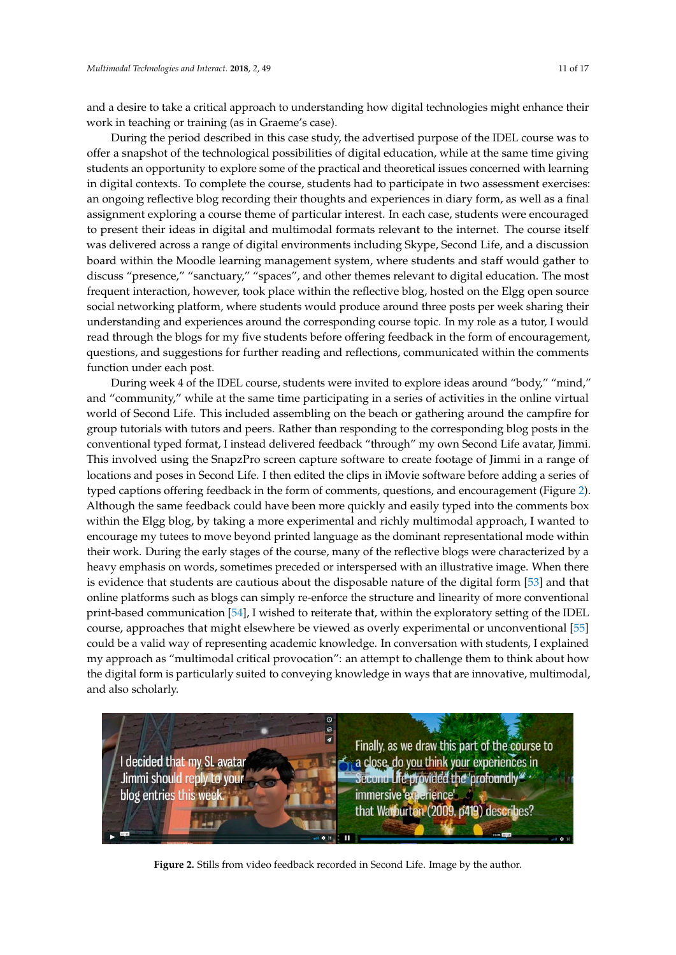and a desire to take a critical approach to understanding how digital technologies might enhance their work in teaching or training (as in Graeme's case).

During the period described in this case study, the advertised purpose of the IDEL course was to offer a snapshot of the technological possibilities of digital education, while at the same time giving students an opportunity to explore some of the practical and theoretical issues concerned with learning in digital contexts. To complete the course, students had to participate in two assessment exercises: an ongoing reflective blog recording their thoughts and experiences in diary form, as well as a final assignment exploring a course theme of particular interest. In each case, students were encouraged to present their ideas in digital and multimodal formats relevant to the internet. The course itself was delivered across a range of digital environments including Skype, Second Life, and a discussion was democred deress a range or algular environments increasing ony peybecome and staff would gather to board within the Moodle learning management system, where students and staff would gather to discuss "presence," "sanctuary," "spaces", and other themes relevant to digital education. The most discuss "presence," "sanctuary," "spaces", and other themes relevant to digital education. The most frequent interaction, however, took place within the reflective blog, hosted on the Elgg open source social networking platform, where students would produce around three posts per week sharing their understanding and experiences around the corresponding course topic. In my role as a tutor, I would read through the blogs for my five students before offering feedback in the form of encouragement,  $\alpha$  questions, and suggestions for further reading and reflections, communicated within the comments function under each post. where the Moodle learning management system, where students and state where  $\frac{1}{100}$ 

During week 4 of the IDEL course, students were invited to explore ideas around "body," "mind," and "community," while at the same time participating in a series of activities in the online virtual world of Second Life. This included assembling on the beach or gathering around the campfire for group tutorials with tutors and peers. Rather than responding to the corresponding blog posts in the conventional typed format, I instead delivered feedback "through" my own Second Life avatar, Jimmi. This involved using the SnapzPro screen capture software to create footage of Jimmi in a range of locations and poses in Second Life. I then edited the clips in iMovie software before adding a series of typed captions offering feedback in the form of comments, questions, and encouragement (Figure [2\)](#page-10-0). Although the same feedback could have been more quickly and easily typed into the comments box within the Elgg blog, by taking a more experimental and richly multimodal approach, I wanted to encourage my tutees to move beyond printed language as the dominant representational mode within their work. During the early stages of the course, many of the reflective blogs were characterized by a heavy emphasis on words, sometimes preceded or interspersed with an illustrative image. When there is evidence that students are cautious about the disposable nature of the digital form [\[53\]](#page-16-14) and that online platforms such as blogs can simply re-enforce the structure and linearity of more conventional print-based communication [\[54\]](#page-16-15), I wished to reiterate that, within the exploratory setting of the IDEL print-based communication [54], I wished to reiterate that, within the exploratory setting of the IDEL print-based communication [54], I wished to reflect that, within the exploratory setting or the IDEL course, approaches that might elsewhere be viewed as overly experimental or unconventional [\[55\]](#page-16-16) could be a valid way of representing academic knowledge. In conversation with students, I explained could be a valid way of representing academic knowledge. In conversation with students, I explained my approach as "multimodal critical provocation": an attempt to challenge them to think about how my approach as "multimodal critical provocation": an attempt to challenge them to think about how the digital form is particularly suited to conveying knowledge in ways that are innovative, multimodal, the digital form is particularly suited to conveying knowledge in ways that are innovative, multimodal, and also scholarly. and also scholarly. course, approaches that might elsewhere be viewed as overly experimental or unconventional [55]

<span id="page-10-0"></span>

**Figure 2.** Stills from video feedback recorded in Second Life. Image by the author. **Figure 2.** Stills from video feedback recorded in Second Life. Image by the author.<br> **Figure 2.** Stills from video feedback recorded in Second Life. Image by the author.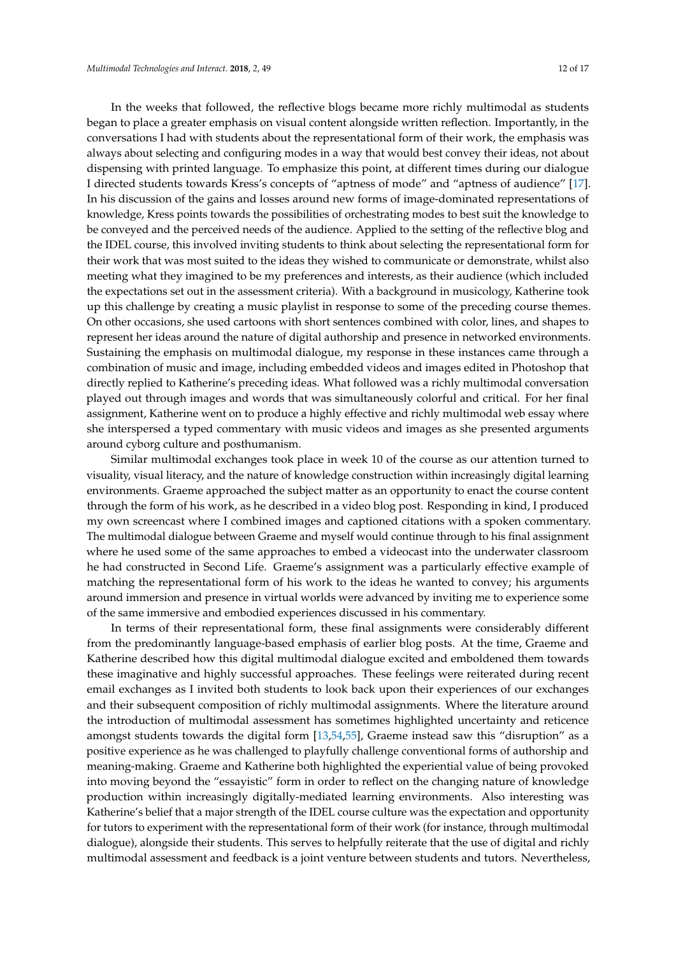In the weeks that followed, the reflective blogs became more richly multimodal as students began to place a greater emphasis on visual content alongside written reflection. Importantly, in the conversations I had with students about the representational form of their work, the emphasis was always about selecting and configuring modes in a way that would best convey their ideas, not about dispensing with printed language. To emphasize this point, at different times during our dialogue I directed students towards Kress's concepts of "aptness of mode" and "aptness of audience" [\[17\]](#page-15-4). In his discussion of the gains and losses around new forms of image-dominated representations of knowledge, Kress points towards the possibilities of orchestrating modes to best suit the knowledge to be conveyed and the perceived needs of the audience. Applied to the setting of the reflective blog and the IDEL course, this involved inviting students to think about selecting the representational form for their work that was most suited to the ideas they wished to communicate or demonstrate, whilst also meeting what they imagined to be my preferences and interests, as their audience (which included the expectations set out in the assessment criteria). With a background in musicology, Katherine took up this challenge by creating a music playlist in response to some of the preceding course themes. On other occasions, she used cartoons with short sentences combined with color, lines, and shapes to represent her ideas around the nature of digital authorship and presence in networked environments. Sustaining the emphasis on multimodal dialogue, my response in these instances came through a combination of music and image, including embedded videos and images edited in Photoshop that directly replied to Katherine's preceding ideas. What followed was a richly multimodal conversation played out through images and words that was simultaneously colorful and critical. For her final assignment, Katherine went on to produce a highly effective and richly multimodal web essay where she interspersed a typed commentary with music videos and images as she presented arguments around cyborg culture and posthumanism.

Similar multimodal exchanges took place in week 10 of the course as our attention turned to visuality, visual literacy, and the nature of knowledge construction within increasingly digital learning environments. Graeme approached the subject matter as an opportunity to enact the course content through the form of his work, as he described in a video blog post. Responding in kind, I produced my own screencast where I combined images and captioned citations with a spoken commentary. The multimodal dialogue between Graeme and myself would continue through to his final assignment where he used some of the same approaches to embed a videocast into the underwater classroom he had constructed in Second Life. Graeme's assignment was a particularly effective example of matching the representational form of his work to the ideas he wanted to convey; his arguments around immersion and presence in virtual worlds were advanced by inviting me to experience some of the same immersive and embodied experiences discussed in his commentary.

In terms of their representational form, these final assignments were considerably different from the predominantly language-based emphasis of earlier blog posts. At the time, Graeme and Katherine described how this digital multimodal dialogue excited and emboldened them towards these imaginative and highly successful approaches. These feelings were reiterated during recent email exchanges as I invited both students to look back upon their experiences of our exchanges and their subsequent composition of richly multimodal assignments. Where the literature around the introduction of multimodal assessment has sometimes highlighted uncertainty and reticence amongst students towards the digital form [\[13](#page-15-1)[,54](#page-16-15)[,55\]](#page-16-16), Graeme instead saw this "disruption" as a positive experience as he was challenged to playfully challenge conventional forms of authorship and meaning-making. Graeme and Katherine both highlighted the experiential value of being provoked into moving beyond the "essayistic" form in order to reflect on the changing nature of knowledge production within increasingly digitally-mediated learning environments. Also interesting was Katherine's belief that a major strength of the IDEL course culture was the expectation and opportunity for tutors to experiment with the representational form of their work (for instance, through multimodal dialogue), alongside their students. This serves to helpfully reiterate that the use of digital and richly multimodal assessment and feedback is a joint venture between students and tutors. Nevertheless,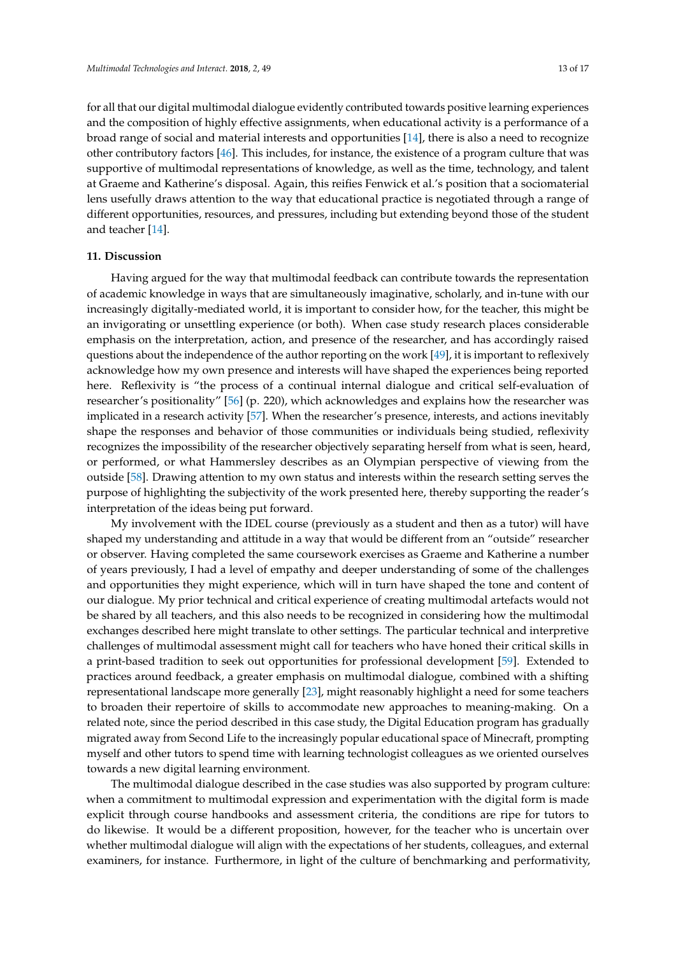for all that our digital multimodal dialogue evidently contributed towards positive learning experiences and the composition of highly effective assignments, when educational activity is a performance of a broad range of social and material interests and opportunities [\[14\]](#page-15-2), there is also a need to recognize other contributory factors [\[46\]](#page-16-7). This includes, for instance, the existence of a program culture that was supportive of multimodal representations of knowledge, as well as the time, technology, and talent at Graeme and Katherine's disposal. Again, this reifies Fenwick et al.'s position that a sociomaterial lens usefully draws attention to the way that educational practice is negotiated through a range of

different opportunities, resources, and pressures, including but extending beyond those of the student

#### **11. Discussion**

and teacher [\[14\]](#page-15-2).

Having argued for the way that multimodal feedback can contribute towards the representation of academic knowledge in ways that are simultaneously imaginative, scholarly, and in-tune with our increasingly digitally-mediated world, it is important to consider how, for the teacher, this might be an invigorating or unsettling experience (or both). When case study research places considerable emphasis on the interpretation, action, and presence of the researcher, and has accordingly raised questions about the independence of the author reporting on the work [\[49\]](#page-16-10), it is important to reflexively acknowledge how my own presence and interests will have shaped the experiences being reported here. Reflexivity is "the process of a continual internal dialogue and critical self-evaluation of researcher's positionality" [\[56\]](#page-16-17) (p. 220), which acknowledges and explains how the researcher was implicated in a research activity [\[57\]](#page-16-18). When the researcher's presence, interests, and actions inevitably shape the responses and behavior of those communities or individuals being studied, reflexivity recognizes the impossibility of the researcher objectively separating herself from what is seen, heard, or performed, or what Hammersley describes as an Olympian perspective of viewing from the outside [\[58\]](#page-16-19). Drawing attention to my own status and interests within the research setting serves the purpose of highlighting the subjectivity of the work presented here, thereby supporting the reader's interpretation of the ideas being put forward.

My involvement with the IDEL course (previously as a student and then as a tutor) will have shaped my understanding and attitude in a way that would be different from an "outside" researcher or observer. Having completed the same coursework exercises as Graeme and Katherine a number of years previously, I had a level of empathy and deeper understanding of some of the challenges and opportunities they might experience, which will in turn have shaped the tone and content of our dialogue. My prior technical and critical experience of creating multimodal artefacts would not be shared by all teachers, and this also needs to be recognized in considering how the multimodal exchanges described here might translate to other settings. The particular technical and interpretive challenges of multimodal assessment might call for teachers who have honed their critical skills in a print-based tradition to seek out opportunities for professional development [\[59\]](#page-16-20). Extended to practices around feedback, a greater emphasis on multimodal dialogue, combined with a shifting representational landscape more generally [\[23\]](#page-15-10), might reasonably highlight a need for some teachers to broaden their repertoire of skills to accommodate new approaches to meaning-making. On a related note, since the period described in this case study, the Digital Education program has gradually migrated away from Second Life to the increasingly popular educational space of Minecraft, prompting myself and other tutors to spend time with learning technologist colleagues as we oriented ourselves towards a new digital learning environment.

The multimodal dialogue described in the case studies was also supported by program culture: when a commitment to multimodal expression and experimentation with the digital form is made explicit through course handbooks and assessment criteria, the conditions are ripe for tutors to do likewise. It would be a different proposition, however, for the teacher who is uncertain over whether multimodal dialogue will align with the expectations of her students, colleagues, and external examiners, for instance. Furthermore, in light of the culture of benchmarking and performativity,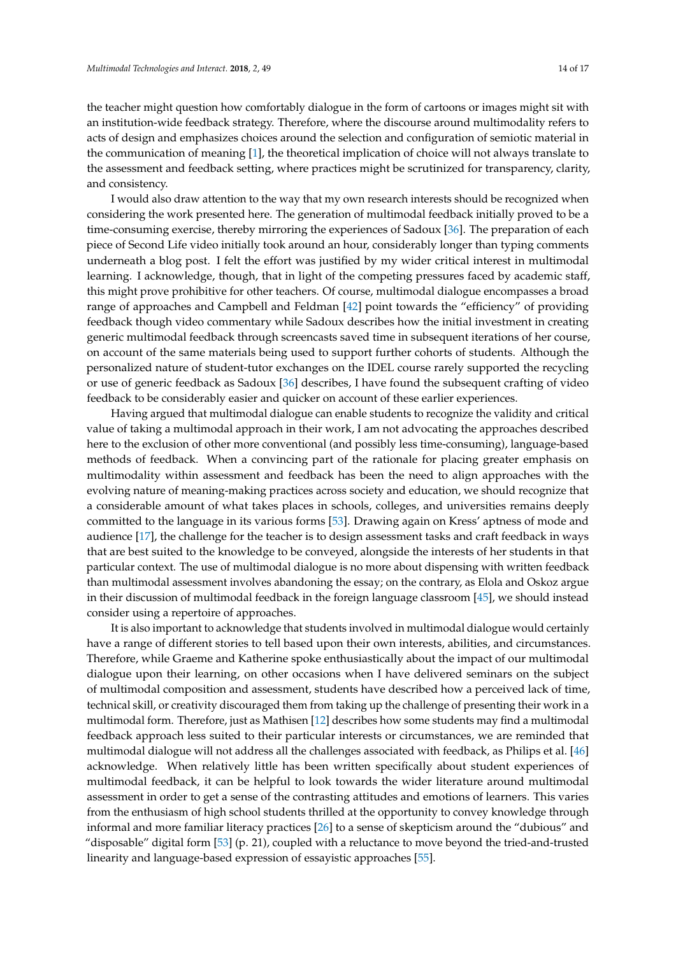the teacher might question how comfortably dialogue in the form of cartoons or images might sit with an institution-wide feedback strategy. Therefore, where the discourse around multimodality refers to acts of design and emphasizes choices around the selection and configuration of semiotic material in the communication of meaning [\[1\]](#page-14-0), the theoretical implication of choice will not always translate to the assessment and feedback setting, where practices might be scrutinized for transparency, clarity, and consistency.

I would also draw attention to the way that my own research interests should be recognized when considering the work presented here. The generation of multimodal feedback initially proved to be a time-consuming exercise, thereby mirroring the experiences of Sadoux [\[36\]](#page-15-23). The preparation of each piece of Second Life video initially took around an hour, considerably longer than typing comments underneath a blog post. I felt the effort was justified by my wider critical interest in multimodal learning. I acknowledge, though, that in light of the competing pressures faced by academic staff, this might prove prohibitive for other teachers. Of course, multimodal dialogue encompasses a broad range of approaches and Campbell and Feldman [\[42\]](#page-16-3) point towards the "efficiency" of providing feedback though video commentary while Sadoux describes how the initial investment in creating generic multimodal feedback through screencasts saved time in subsequent iterations of her course, on account of the same materials being used to support further cohorts of students. Although the personalized nature of student-tutor exchanges on the IDEL course rarely supported the recycling or use of generic feedback as Sadoux [\[36\]](#page-15-23) describes, I have found the subsequent crafting of video feedback to be considerably easier and quicker on account of these earlier experiences.

Having argued that multimodal dialogue can enable students to recognize the validity and critical value of taking a multimodal approach in their work, I am not advocating the approaches described here to the exclusion of other more conventional (and possibly less time-consuming), language-based methods of feedback. When a convincing part of the rationale for placing greater emphasis on multimodality within assessment and feedback has been the need to align approaches with the evolving nature of meaning-making practices across society and education, we should recognize that a considerable amount of what takes places in schools, colleges, and universities remains deeply committed to the language in its various forms [\[53\]](#page-16-14). Drawing again on Kress' aptness of mode and audience [\[17\]](#page-15-4), the challenge for the teacher is to design assessment tasks and craft feedback in ways that are best suited to the knowledge to be conveyed, alongside the interests of her students in that particular context. The use of multimodal dialogue is no more about dispensing with written feedback than multimodal assessment involves abandoning the essay; on the contrary, as Elola and Oskoz argue in their discussion of multimodal feedback in the foreign language classroom [\[45\]](#page-16-6), we should instead consider using a repertoire of approaches.

It is also important to acknowledge that students involved in multimodal dialogue would certainly have a range of different stories to tell based upon their own interests, abilities, and circumstances. Therefore, while Graeme and Katherine spoke enthusiastically about the impact of our multimodal dialogue upon their learning, on other occasions when I have delivered seminars on the subject of multimodal composition and assessment, students have described how a perceived lack of time, technical skill, or creativity discouraged them from taking up the challenge of presenting their work in a multimodal form. Therefore, just as Mathisen [\[12\]](#page-15-0) describes how some students may find a multimodal feedback approach less suited to their particular interests or circumstances, we are reminded that multimodal dialogue will not address all the challenges associated with feedback, as Philips et al. [\[46\]](#page-16-7) acknowledge. When relatively little has been written specifically about student experiences of multimodal feedback, it can be helpful to look towards the wider literature around multimodal assessment in order to get a sense of the contrasting attitudes and emotions of learners. This varies from the enthusiasm of high school students thrilled at the opportunity to convey knowledge through informal and more familiar literacy practices [\[26\]](#page-15-13) to a sense of skepticism around the "dubious" and "disposable" digital form [\[53\]](#page-16-14) (p. 21), coupled with a reluctance to move beyond the tried-and-trusted linearity and language-based expression of essayistic approaches [\[55\]](#page-16-16).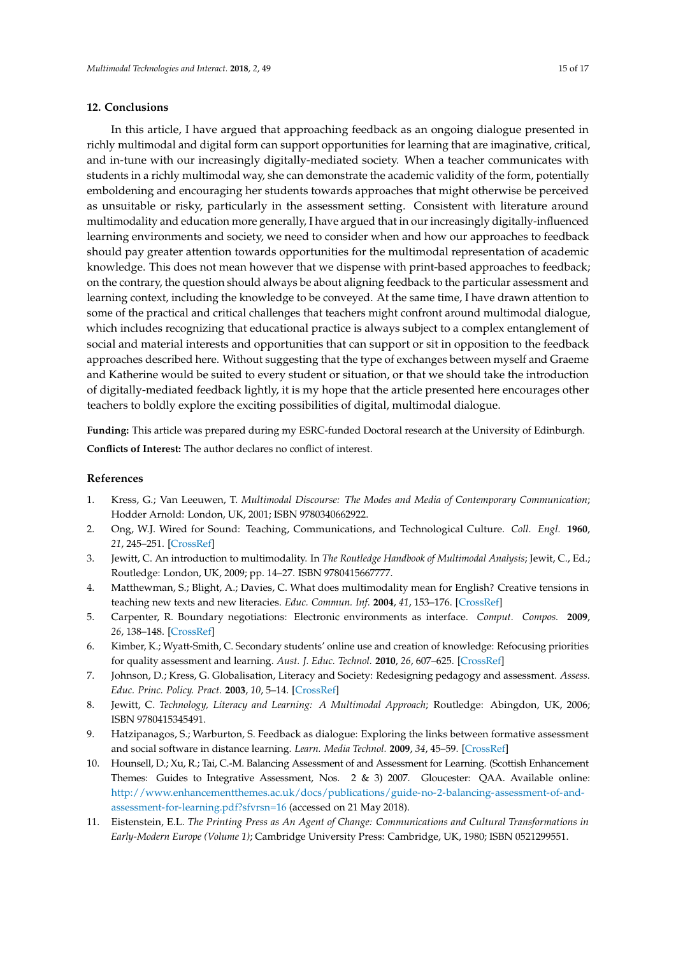#### **12. Conclusions**

In this article, I have argued that approaching feedback as an ongoing dialogue presented in richly multimodal and digital form can support opportunities for learning that are imaginative, critical, and in-tune with our increasingly digitally-mediated society. When a teacher communicates with students in a richly multimodal way, she can demonstrate the academic validity of the form, potentially emboldening and encouraging her students towards approaches that might otherwise be perceived as unsuitable or risky, particularly in the assessment setting. Consistent with literature around multimodality and education more generally, I have argued that in our increasingly digitally-influenced learning environments and society, we need to consider when and how our approaches to feedback should pay greater attention towards opportunities for the multimodal representation of academic knowledge. This does not mean however that we dispense with print-based approaches to feedback; on the contrary, the question should always be about aligning feedback to the particular assessment and learning context, including the knowledge to be conveyed. At the same time, I have drawn attention to some of the practical and critical challenges that teachers might confront around multimodal dialogue, which includes recognizing that educational practice is always subject to a complex entanglement of social and material interests and opportunities that can support or sit in opposition to the feedback approaches described here. Without suggesting that the type of exchanges between myself and Graeme and Katherine would be suited to every student or situation, or that we should take the introduction of digitally-mediated feedback lightly, it is my hope that the article presented here encourages other teachers to boldly explore the exciting possibilities of digital, multimodal dialogue.

**Funding:** This article was prepared during my ESRC-funded Doctoral research at the University of Edinburgh. **Conflicts of Interest:** The author declares no conflict of interest.

### **References**

- <span id="page-14-0"></span>1. Kress, G.; Van Leeuwen, T. *Multimodal Discourse: The Modes and Media of Contemporary Communication*; Hodder Arnold: London, UK, 2001; ISBN 9780340662922.
- <span id="page-14-1"></span>2. Ong, W.J. Wired for Sound: Teaching, Communications, and Technological Culture. *Coll. Engl.* **1960**, *21*, 245–251. [\[CrossRef\]](http://dx.doi.org/10.2307/373335)
- <span id="page-14-2"></span>3. Jewitt, C. An introduction to multimodality. In *The Routledge Handbook of Multimodal Analysis*; Jewit, C., Ed.; Routledge: London, UK, 2009; pp. 14–27. ISBN 9780415667777.
- <span id="page-14-3"></span>4. Matthewman, S.; Blight, A.; Davies, C. What does multimodality mean for English? Creative tensions in teaching new texts and new literacies. *Educ. Commun. Inf.* **2004**, *41*, 153–176. [\[CrossRef\]](http://dx.doi.org/10.1080/1463631042000210944)
- <span id="page-14-4"></span>5. Carpenter, R. Boundary negotiations: Electronic environments as interface. *Comput. Compos.* **2009**, *26*, 138–148. [\[CrossRef\]](http://dx.doi.org/10.1016/j.compcom.2009.05.001)
- <span id="page-14-5"></span>6. Kimber, K.; Wyatt-Smith, C. Secondary students' online use and creation of knowledge: Refocusing priorities for quality assessment and learning. *Aust. J. Educ. Technol.* **2010**, *26*, 607–625. [\[CrossRef\]](http://dx.doi.org/10.14742/ajet.1054)
- <span id="page-14-6"></span>7. Johnson, D.; Kress, G. Globalisation, Literacy and Society: Redesigning pedagogy and assessment. *Assess. Educ. Princ. Policy. Pract.* **2003**, *10*, 5–14. [\[CrossRef\]](http://dx.doi.org/10.1080/09695940301697)
- <span id="page-14-7"></span>8. Jewitt, C. *Technology, Literacy and Learning: A Multimodal Approach*; Routledge: Abingdon, UK, 2006; ISBN 9780415345491.
- <span id="page-14-8"></span>9. Hatzipanagos, S.; Warburton, S. Feedback as dialogue: Exploring the links between formative assessment and social software in distance learning. *Learn. Media Technol.* **2009**, *34*, 45–59. [\[CrossRef\]](http://dx.doi.org/10.1080/17439880902759919)
- <span id="page-14-9"></span>10. Hounsell, D.; Xu, R.; Tai, C.-M. Balancing Assessment of and Assessment for Learning. (Scottish Enhancement Themes: Guides to Integrative Assessment, Nos. 2 & 3) 2007. Gloucester: QAA. Available online: [http://www.enhancementthemes.ac.uk/docs/publications/guide-no-2-balancing-assessment-of-and](http://www.enhancementthemes.ac.uk/docs/publications/guide-no-2-balancing-assessment-of-and-assessment-for-learning.pdf?sfvrsn=16)[assessment-for-learning.pdf?sfvrsn=16](http://www.enhancementthemes.ac.uk/docs/publications/guide-no-2-balancing-assessment-of-and-assessment-for-learning.pdf?sfvrsn=16) (accessed on 21 May 2018).
- <span id="page-14-10"></span>11. Eistenstein, E.L. *The Printing Press as An Agent of Change: Communications and Cultural Transformations in Early-Modern Europe (Volume 1)*; Cambridge University Press: Cambridge, UK, 1980; ISBN 0521299551.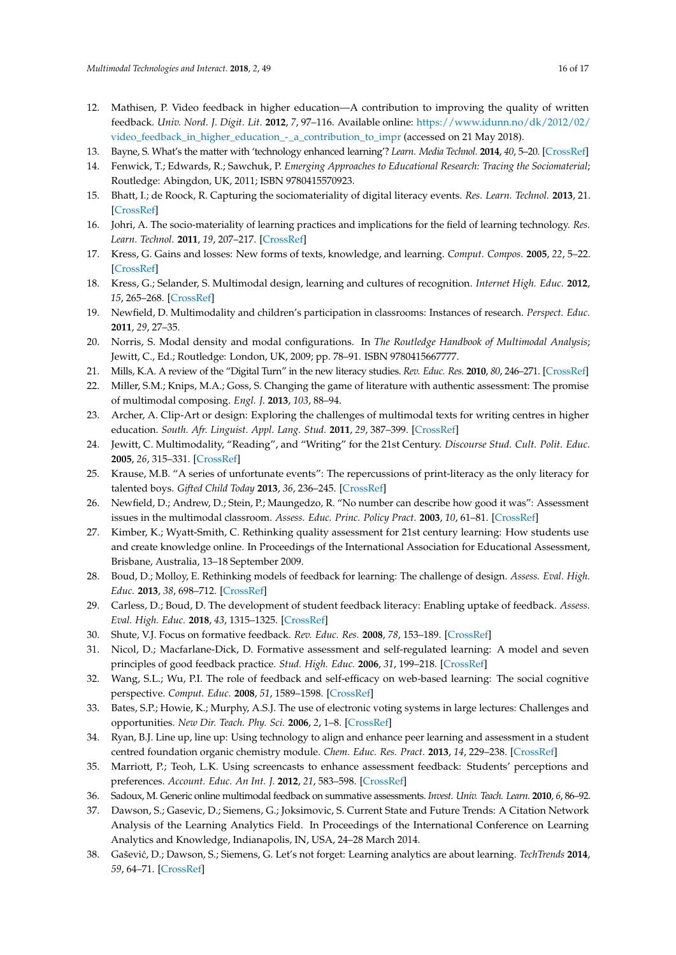- <span id="page-15-0"></span>12. Mathisen, P. Video feedback in higher education—A contribution to improving the quality of written feedback. *Univ. Nord. J. Digit. Lit.* **2012**, *7*, 97–116. Available online: [https://www.idunn.no/dk/2012/02/](https://www.idunn.no/dk/2012/02/video_feedback_in_higher_education_-_a_contribution_to_impr) [video\\_feedback\\_in\\_higher\\_education\\_-\\_a\\_contribution\\_to\\_impr](https://www.idunn.no/dk/2012/02/video_feedback_in_higher_education_-_a_contribution_to_impr) (accessed on 21 May 2018).
- <span id="page-15-1"></span>13. Bayne, S. What's the matter with 'technology enhanced learning'? *Learn. Media Technol.* **2014**, *40*, 5–20. [\[CrossRef\]](http://dx.doi.org/10.1080/17439884.2014.915851)
- <span id="page-15-2"></span>14. Fenwick, T.; Edwards, R.; Sawchuk, P. *Emerging Approaches to Educational Research: Tracing the Sociomaterial*; Routledge: Abingdon, UK, 2011; ISBN 9780415570923.
- 15. Bhatt, I.; de Roock, R. Capturing the sociomateriality of digital literacy events. *Res. Learn. Technol.* **2013**, 21. [\[CrossRef\]](http://dx.doi.org/10.3402/rlt.v21.21281)
- <span id="page-15-3"></span>16. Johri, A. The socio-materiality of learning practices and implications for the field of learning technology. *Res. Learn. Technol.* **2011**, *19*, 207–217. [\[CrossRef\]](http://dx.doi.org/10.3402/rlt.v19i3.17110)
- <span id="page-15-4"></span>17. Kress, G. Gains and losses: New forms of texts, knowledge, and learning. *Comput. Compos.* **2005**, *22*, 5–22. [\[CrossRef\]](http://dx.doi.org/10.1016/j.compcom.2004.12.004)
- <span id="page-15-5"></span>18. Kress, G.; Selander, S. Multimodal design, learning and cultures of recognition. *Internet High. Educ.* **2012**, *15*, 265–268. [\[CrossRef\]](http://dx.doi.org/10.1016/j.iheduc.2011.12.003)
- <span id="page-15-6"></span>19. Newfield, D. Multimodality and children's participation in classrooms: Instances of research. *Perspect. Educ.* **2011**, *29*, 27–35.
- <span id="page-15-7"></span>20. Norris, S. Modal density and modal configurations. In *The Routledge Handbook of Multimodal Analysis*; Jewitt, C., Ed.; Routledge: London, UK, 2009; pp. 78–91. ISBN 9780415667777.
- <span id="page-15-9"></span><span id="page-15-8"></span>21. Mills, K.A. A review of the "Digital Turn" in the new literacy studies. *Rev. Educ. Res.* **2010**, *80*, 246–271. [\[CrossRef\]](http://dx.doi.org/10.3102/0034654310364401)
- 22. Miller, S.M.; Knips, M.A.; Goss, S. Changing the game of literature with authentic assessment: The promise of multimodal composing. *Engl. J.* **2013**, *103*, 88–94.
- <span id="page-15-10"></span>23. Archer, A. Clip-Art or design: Exploring the challenges of multimodal texts for writing centres in higher education. *South. Afr. Linguist. Appl. Lang. Stud.* **2011**, *29*, 387–399. [\[CrossRef\]](http://dx.doi.org/10.2989/16073614.2011.651938)
- <span id="page-15-11"></span>24. Jewitt, C. Multimodality, "Reading", and "Writing" for the 21st Century. *Discourse Stud. Cult. Polit. Educ.* **2005**, *26*, 315–331. [\[CrossRef\]](http://dx.doi.org/10.1080/01596300500200011)
- <span id="page-15-12"></span>25. Krause, M.B. "A series of unfortunate events": The repercussions of print-literacy as the only literacy for talented boys. *Gifted Child Today* **2013**, *36*, 236–245. [\[CrossRef\]](http://dx.doi.org/10.1177/1076217513501805)
- <span id="page-15-13"></span>26. Newfield, D.; Andrew, D.; Stein, P.; Maungedzo, R. "No number can describe how good it was": Assessment issues in the multimodal classroom. *Assess. Educ. Princ. Policy Pract.* **2003**, *10*, 61–81. [\[CrossRef\]](http://dx.doi.org/10.1080/09695940301695)
- <span id="page-15-14"></span>27. Kimber, K.; Wyatt-Smith, C. Rethinking quality assessment for 21st century learning: How students use and create knowledge online. In Proceedings of the International Association for Educational Assessment, Brisbane, Australia, 13–18 September 2009.
- <span id="page-15-15"></span>28. Boud, D.; Molloy, E. Rethinking models of feedback for learning: The challenge of design. *Assess. Eval. High. Educ.* **2013**, *38*, 698–712. [\[CrossRef\]](http://dx.doi.org/10.1080/02602938.2012.691462)
- <span id="page-15-16"></span>29. Carless, D.; Boud, D. The development of student feedback literacy: Enabling uptake of feedback. *Assess. Eval. High. Educ.* **2018**, *43*, 1315–1325. [\[CrossRef\]](http://dx.doi.org/10.1080/02602938.2018.1463354)
- <span id="page-15-17"></span>30. Shute, V.J. Focus on formative feedback. *Rev. Educ. Res.* **2008**, *78*, 153–189. [\[CrossRef\]](http://dx.doi.org/10.3102/0034654307313795)
- <span id="page-15-18"></span>31. Nicol, D.; Macfarlane-Dick, D. Formative assessment and self-regulated learning: A model and seven principles of good feedback practice. *Stud. High. Educ.* **2006**, *31*, 199–218. [\[CrossRef\]](http://dx.doi.org/10.1080/03075070600572090)
- <span id="page-15-19"></span>32. Wang, S.L.; Wu, P.I. The role of feedback and self-efficacy on web-based learning: The social cognitive perspective. *Comput. Educ.* **2008**, *51*, 1589–1598. [\[CrossRef\]](http://dx.doi.org/10.1016/j.compedu.2008.03.004)
- <span id="page-15-20"></span>33. Bates, S.P.; Howie, K.; Murphy, A.S.J. The use of electronic voting systems in large lectures: Challenges and opportunities. *New Dir. Teach. Phy. Sci.* **2006**, *2*, 1–8. [\[CrossRef\]](http://dx.doi.org/10.11120/ndir.2006.00020001)
- <span id="page-15-21"></span>34. Ryan, B.J. Line up, line up: Using technology to align and enhance peer learning and assessment in a student centred foundation organic chemistry module. *Chem. Educ. Res. Pract.* **2013**, *14*, 229–238. [\[CrossRef\]](http://dx.doi.org/10.1039/C3RP20178C)
- <span id="page-15-22"></span>35. Marriott, P.; Teoh, L.K. Using screencasts to enhance assessment feedback: Students' perceptions and preferences. *Account. Educ. An Int. J.* **2012**, *21*, 583–598. [\[CrossRef\]](http://dx.doi.org/10.1080/09639284.2012.725637)
- <span id="page-15-23"></span>36. Sadoux, M. Generic online multimodal feedback on summative assessments. *Invest. Univ. Teach. Learn.* **2010**, *6*, 86–92.
- <span id="page-15-24"></span>37. Dawson, S.; Gasevic, D.; Siemens, G.; Joksimovic, S. Current State and Future Trends: A Citation Network Analysis of the Learning Analytics Field. In Proceedings of the International Conference on Learning Analytics and Knowledge, Indianapolis, IN, USA, 24–28 March 2014.
- <span id="page-15-25"></span>38. Gaševi´c, D.; Dawson, S.; Siemens, G. Let's not forget: Learning analytics are about learning. *TechTrends* **2014**, *59*, 64–71. [\[CrossRef\]](http://dx.doi.org/10.1007/s11528-014-0822-x)